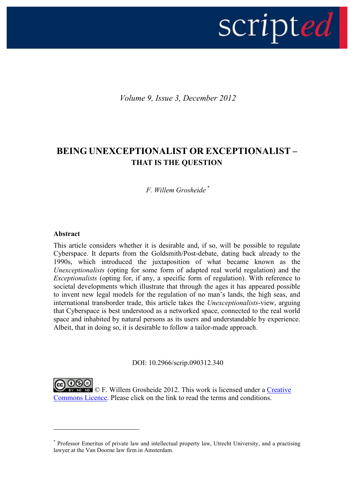

*Volume 9, Issue 3, December 2012*

# **BEING UNEXCEPTIONALIST OR EXCEPTIONALIST – THAT IS THE QUESTION**

*F. Willem Grosheide \**

#### **Abstract**

<u>.</u>

This article considers whether it is desirable and, if so, will be possible to regulate Cyberspace. It departs from the Goldsmith/Post-debate, dating back already to the 1990s, which introduced the juxtaposition of what became known as the *Unexceptionalists* (opting for some form of adapted real world regulation) and the *Exceptionalists* (opting for, if any, a specific form of regulation). With reference to societal developments which illustrate that through the ages it has appeared possible to invent new legal models for the regulation of no man's lands, the high seas, and international transborder trade, this article takes the *Unexceptionalists*-view, arguing that Cyberspace is best understood as a networked space, connected to the real world space and inhabited by natural persons as its users and understandable by experience. Albeit, that in doing so, it is desirable to follow a tailor-made approach.

DOI: 10.2966/scrip.090312.340

**@©®**  $\overline{\circ}$   $\circ$  F. Willem Grosheide 2012. This work is licensed under a Creative [Commons Licence.](http://creativecommons.org/licenses/by-nc-nd/2.5/scotland/) Please click on the link to read the terms and conditions.

<sup>\*</sup> Professor Emeritus of private law and intellectual property law, Utrecht University, and a practising lawyer at the Van Doorne law firm in Amsterdam.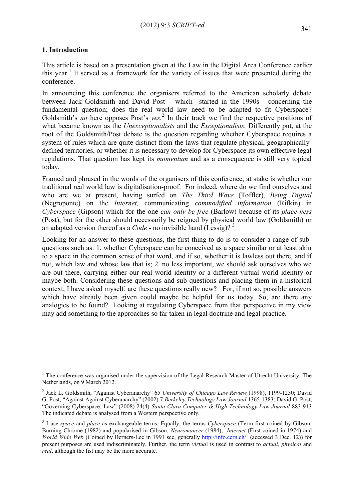## **1. Introduction**

1

This article is based on a presentation given at the Law in the Digital Area Conference earlier this year.<sup>1</sup> It served as a framework for the variety of issues that were presented during the conference.

In announcing this conference the organisers referred to the American scholarly debate between Jack Goldsmith and David Post – which started in the 1990s - concerning the fundamental question; does the real world law need to be adapted to fit Cyberspace? Goldsmith's *no* here opposes Post's *yes.* 2 In their track we find the respective positions of what became known as the *Unexceptionalists* and the *Exceptionalists.* Differently put, at the root of the Goldsmith/Post debate is the question regarding whether Cyberspace requires a system of rules which are quite distinct from the laws that regulate physical, geographicallydefined territories, or whether it is necessary to develop for Cyberspace its own effective legal regulations. That question has kept its *momentum* and as a consequence is still very topical today.

Framed and phrased in the words of the organisers of this conference, at stake is whether our traditional real world law is digitalisation-proof. For indeed, where do we find ourselves and who are we at present, having surfed on *The Third Wave* (Toffler), *Being Digital* (Negroponte) on the *Internet,* communicating *commodified information* (Rifkin) in *Cyberspace* (Gipson) which for the one *can only be free* (Barlow) because of its *place-ness*  (Post), but for the other should necessarily be reigned by physical world law (Goldsmith) or an adapted version thereof as a *Code* - no invisible hand (Lessig)? <sup>3</sup>

Looking for an answer to these questions, the first thing to do is to consider a range of subquestions such as: 1. whether Cyberspace can be conceived as a space similar or at least akin to a space in the common sense of that word, and if so, whether it is lawless out there, and if not, which law and whose law that is; 2. no less important, we should ask ourselves who we are out there, carrying either our real world identity or a different virtual world identity or maybe both. Considering these questions and sub-questions and placing them in a historical context, I have asked myself: are these questions really new? For, if not so, possible answers which have already been given could maybe be helpful for us today. So, are there any analogies to be found? Looking at regulating Cyberspace from that perspective in my view may add something to the approaches so far taken in legal doctrine and legal practice.

 $1$  The conference was organised under the supervision of the Legal Research Master of Utrecht University. The Netherlands, on 9 March 2012.

<sup>2</sup> Jack L. Goldsmith, "Against Cyberanarchy" 65 *University of Chicago Law Review* (1998), 1199-1250; David G. Post, "Against Against Cyberanarchy" (2002) 7 *Berkeley Technology Law Journal* 1365-1383; David G. Post, "Governing Cyberspace: Law" (2008) 24(4) *Santa Clara Computer & High Technology Law Journal* 883-913 The indicated debate is analysed from a Western perspective only.

<sup>&</sup>lt;sup>3</sup> I use *space* and *place* as exchangeable terms. Equally, the terms *Cyberspace* (Term first coined by Gibson, Burning Chrome (1982) and popularised in Gibson, *Neuromancer* (1984), *Internet* (First coined in 1974) and *World Wide Web* (Coined by Berners-Lee in 1991 see, generally<http://info.cern.ch/>(accessed 3 Dec. 12)) for present purposes are used indiscriminately. Further, the term *virtua*l is used in contrast to *actual, physical* and *real*, although the fist may be the more accurate.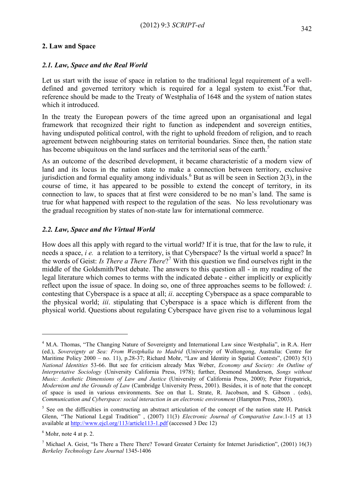#### **2. Law and Space**

#### *2.1. Law, Space and the Real World*

Let us start with the issue of space in relation to the traditional legal requirement of a welldefined and governed territory which is required for a legal system to exist.<sup>4</sup>For that, reference should be made to the Treaty of Westphalia of 1648 and the system of nation states which it introduced.

In the treaty the European powers of the time agreed upon an organisational and legal framework that recognized their right to function as independent and sovereign entities, having undisputed political control, with the right to uphold freedom of religion, and to reach agreement between neighbouring states on territorial boundaries. Since then, the nation state has become ubiquitous on the land surfaces and the territorial seas of the earth.<sup>5</sup>

As an outcome of the described development, it became characteristic of a modern view of land and its locus in the nation state to make a connection between territory, exclusive jurisdiction and formal equality among individuals.<sup>6</sup> But as will be seen in Section 2(3), in the course of time, it has appeared to be possible to extend the concept of territory, in its connection to law, to spaces that at first were considered to be no man's land. The same is true for what happened with respect to the regulation of the seas. No less revolutionary was the gradual recognition by states of non-state law for international commerce.

#### *2.2. Law, Space and the Virtual World*

How does all this apply with regard to the virtual world? If it is true, that for the law to rule, it needs a space, *i e.* a relation to a territory, is that Cyberspace? Is the virtual world a space? In the words of Geist: *Is There a There There*? <sup>7</sup> With this question we find ourselves right in the middle of the Goldsmith/Post debate. The answers to this question all - in my reading of the legal literature which comes to terms with the indicated debate - either implicitly or explicitly reflect upon the issue of space. In doing so, one of three approaches seems to be followed: *i*. contesting that Cyberspace is a space at all; *ii*. accepting Cyberspace as a space comparable to the physical world; *iii*. stipulating that Cyberspace is a space which is different from the physical world. Questions about regulating Cyberspace have given rise to a voluminous legal

<sup>&</sup>lt;sup>4</sup> M.A. Thomas, "The Changing Nature of Sovereignty and International Law since Westphalia", in R.A. Herr (ed.), *Sovereignty at Sea: From Westphalia to Madrid* (University of Wollongong, Australia: Centre for Maritime Policy 2000 – no. 11), p.28-37; Richard Mohr, "Law and Identity in Spatial Contests", (2003) 5(1) *National Identities* 53-66. But see for criticism already Max Weber, *Economy and Society: An Outline of Interpretative Sociology* (University California Press, 1978); further, Desmond Manderson, *Songs without Music: Aesthetic Dimensions of Law and Justice* (University of California Press, 2000); Peter Fitzpatrick, *Modernism and the Grounds of Law* (Cambridge University Press, 2001). Besides, it is of note that the concept of space is used in various environments. See on that L. Strate, R. Jacobson, and S. Gibson . (eds), *Communication and Cyberspace: social interaction in an electronic environment* (Hampton Press, 2003).

<sup>&</sup>lt;sup>5</sup> See on the difficulties in constructing an abstract articulation of the concept of the nation state H. Patrick Glenn, "The National Legal Tradition" , (2007) 11(3) *Electronic Journal of Comparative Law*.1-15 at 13 available at<http://www.ejcl.org/113/article113-1.pdf> (accessed 3 Dec 12)

 $<sup>6</sup>$  Mohr, note 4 at p. 2.</sup>

<sup>&</sup>lt;sup>7</sup> Michael A. Geist, "Is There a There There? Toward Greater Certainty for Internet Jurisdiction", (2001) 16(3) *Berkeley Technology Law Journal* 1345-1406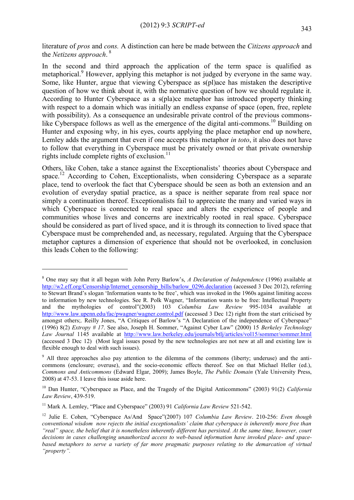literature of *pros* and *cons.* A distinction can here be made between the *Citizens approach* and the *Netizens approach*. 8

In the second and third approach the application of the term space is qualified as metaphorical.<sup>9</sup> However, applying this metaphor is not judged by everyone in the same way. Some, like Hunter, argue that viewing Cyberspace as s(pl)ace has mistaken the descriptive question of how we think about it, with the normative question of how we should regulate it. According to Hunter Cyberspace as a s(pla)ce metaphor has introduced property thinking with respect to a domain which was initially an endless expanse of space (open, free, replete with possibility). As a consequence an undesirable private control of the previous commonslike Cyberspace follows as well as the emergence of the digital anti-commons.<sup>10</sup> Building on Hunter and exposing why, in his eyes, courts applying the place metaphor end up nowhere, Lemley adds the argument that even if one accepts this metaphor *in toto*, it also does not have to follow that everything in Cyberspace must be privately owned or that private ownership rights include complete rights of exclusion.<sup>11</sup>

Others, like Cohen, take a stance against the Exceptionalists' theories about Cyberspace and space.<sup>12</sup> According to Cohen, Exceptionalists, when considering Cyberspace as a separate place, tend to overlook the fact that Cyberspace should be seen as both an extension and an evolution of everyday spatial practice, as a space is neither separate from real space nor simply a continuation thereof. Exceptionalists fail to appreciate the many and varied ways in which Cyberspace is connected to real space and alters the experience of people and communities whose lives and concerns are inextricably rooted in real space. Cyberspace should be considered as part of lived space, and it is through its connection to lived space that Cyberspace must be comprehended and, as necessary, regulated. Arguing that the Cyberspace metaphor captures a dimension of experience that should not be overlooked, in conclusion this leads Cohen to the following:

<sup>8</sup> One may say that it all began with John Perry Barlow's, *A Declaration of Independence* (1996) available at [http://w2.eff.org/Censorship/Internet\\_censorship\\_bills/barlow\\_0296.declaration](http://w2.eff.org/Censorship/Internet_censorship_bills/barlow_0296.declaration) (accessed 3 Dec 2012), referring to Stewart Brand's slogan 'Information wants to be free', which was invoked in the 1960s against limiting access to information by new technologies. See R. Polk Wagner, "Information wants to be free: Intellectual Property and the mythologies of control"(2003) 103 *Columbia Law Review* 995-1034 available at <http://www.law.upenn.edu/fac/pwagner/wagner.control.pdf> (accessed 3 Dec 12) right from the start criticised by amongst others;. Reilly Jones, "A Critiques of Barlow's "A Declaration of the independence of Cyberspace" (1996) 8(2) *Extropy # 17*. See also, Joseph H. Sommer, "Against Cyber Law" (2000) 15 *Berkeley Technology Law Journal* 1145 available at <http://www.law.berkeley.edu/journals/btlj/articles/vol15/sommer/sommer.html> (accessed 3 Dec 12) (Most legal issues posed by the new technologies are not new at all and existing law is flexible enough to deal with such issues).

<sup>&</sup>lt;sup>9</sup> All three approaches also pay attention to the dilemma of the commons (liberty; underuse) and the anticommons (enclosure; overuse), and the socio-economic effects thereof. See on that Michael Heller (ed.), *Commons and Anticommons* (Edward Elgar, 2009); James Boyle, *The Public Domain* (Yale University Press, 2008) at 47-53. I leave this issue aside here.

<sup>10</sup> Dan Hunter, "Cyberspace as Place, and the Tragedy of the Digital Anticommons" (2003) 91(2) *California Law Review*, 439-519.

<sup>11</sup> Mark A. Lemley, "Place and Cyberspace" (2003) 91 *California Law Review* 521-542.

<sup>12</sup> Julie E. Cohen, "Cyberspace As/And Space"(2007) 107 *Columbia Law Review*. 210-256: *Even though conventional wisdom now rejects the initial exceptionalists' claim that cyberspace is inherently more free than "real" space, the belief that it is nonetheless inherently different has persisted. At the same time, however, court decisions in cases challenging unauthorized access to web-based information have invoked place- and spacebased metaphors to serve a variety of far more pragmatic purposes relating to the demarcation of virtual "property".*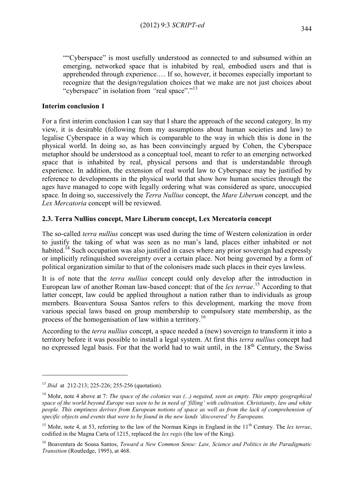""Cyberspace" is most usefully understood as connected to and subsumed within an emerging, networked space that is inhabited by real, embodied users and that is apprehended through experience.… If so, however, it becomes especially important to recognize that the design/regulation choices that we make are not just choices about "cyberspace" in isolation from "real space"."<sup>13</sup>

# **Interim conclusion 1**

For a first interim conclusion I can say that I share the approach of the second category. In my view, it is desirable (following from my assumptions about human societies and law) to legalise Cyberspace in a way which is comparable to the way in which this is done in the physical world. In doing so, as has been convincingly argued by Cohen, the Cyberspace metaphor should be understood as a conceptual tool, meant to refer to an emerging networked space that is inhabited by real, physical persons and that is understandable through experience. In addition, the extension of real world law to Cyberspace may be justified by reference to developments in the physical world that show how human societies through the ages have managed to cope with legally ordering what was considered as spare, unoccupied space. In doing so, successively the *Terra Nullius* concept, the *Mare Liberum* concept*,* and the *Lex Mercatoria* concept will be reviewed.

# **2.3. Terra Nullius concept, Mare Liberum concept, Lex Mercatoria concept**

The so-called *terra nullius* concept was used during the time of Western colonization in order to justify the taking of what was seen as no man's land, places either inhabited or not habited.<sup>14</sup> Such occupation was also justified in cases where any prior sovereign had expressly or implicitly relinquished sovereignty over a certain place. Not being governed by a form of political organization similar to that of the colonisers made such places in their eyes lawless.

It is of note that the *terra nullius* concept could only develop after the introduction in European law of another Roman law-based concept: that of the *lex terrae*. <sup>15</sup> According to that latter concept, law could be applied throughout a nation rather than to individuals as group members. Boaventura Sousa Santos refers to this development, marking the move from various special laws based on group membership to compulsory state membership, as the process of the homogenisation of law within a territory.<sup>16</sup>

According to the *terra nullius* concept, a space needed a (new) sovereign to transform it into a territory before it was possible to install a legal system. At first this *terra nullius* concept had no expressed legal basis. For that the world had to wait until, in the  $18<sup>th</sup>$  Century, the Swiss

1

<sup>13</sup> *Ibid* at 212-213; 225-226; 255-256 (quotation).

<sup>14</sup> Mohr, note 4 above at 7: *The space of the colonies was (...) negated, seen as empty. This empty geographical space of the world beyond Europe was seen to be in need of 'filling' with cultivation. Christianity, law and white people. This emptiness derives from European notions of space as well as from the lack of comprehension of specific objects and events that were to be found in the new lands 'discovered' by Europeans.*

<sup>&</sup>lt;sup>15</sup> Mohr, note 4, at 53, referring to the law of the Norman Kings in England in the  $11<sup>th</sup>$  Century. The *lex terrae*, codified in the Magna Carta of 1215, replaced the *lex regis* (the law of the King).

<sup>16</sup> Boaventura de Sousa Santos, *Toward a New Common Sense: Law, Science and Politics in the Paradigmatic Transition* (Routledge, 1995), at 468.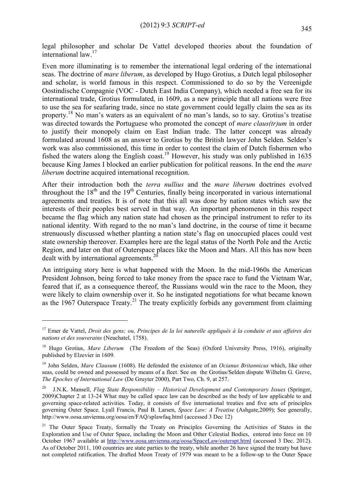legal philosopher and scholar De Vattel developed theories about the foundation of international law.<sup>17</sup>

Even more illuminating is to remember the international legal ordering of the international seas. The doctrine of *mare liberum*, as developed by Hugo Grotius, a Dutch legal philosopher and scholar, is world famous in this respect. Commissioned to do so by the Vereenigde Oostindische Compagnie (VOC - Dutch East India Company), which needed a free sea for its international trade, Grotius formulated, in 1609, as a new principle that all nations were free to use the sea for seafaring trade, since no state government could legally claim the sea as its property.<sup>18</sup> No man's waters as an equivalent of no man's lands, so to say. Grotius's treatise was directed towards the Portuguese who promoted the concept of *mare claus(tr)um* in order to justify their monopoly claim on East Indian trade. The latter concept was already formulated around 1608 as an answer to Grotius by the British lawyer John Selden. Selden's work was also commissioned, this time in order to contest the claim of Dutch fishermen who fished the waters along the English coast.<sup>19</sup> However, his study was only published in 1635 because King James I blocked an earlier publication for political reasons. In the end the *mare liberum* doctrine acquired international recognition.

After their introduction both the *terra nullius* and the *mare liberum* doctrines evolved throughout the  $18<sup>th</sup>$  and the  $19<sup>th</sup>$  Centuries, finally being incorporated in various international agreements and treaties. It is of note that this all was done by nation states which saw the interests of their peoples best served in that way. An important phenomenon in this respect became the flag which any nation state had chosen as the principal instrument to refer to its national identity. With regard to the no man's land doctrine, in the course of time it became strenuously discussed whether planting a nation state's flag on unoccupied places could vest state ownership thereover. Examples here are the legal status of the North Pole and the Arctic Region, and later on that of Outerspace places like the Moon and Mars. All this has now been dealt with by international agreements.<sup>20</sup>

An intriguing story here is what happened with the Moon. In the mid-1960s the American President Johnson, being forced to take money from the space race to fund the Vietnam War, feared that if, as a consequence thereof, the Russians would win the race to the Moon, they were likely to claim ownership over it. So he instigated negotiations for what became known as the 1967 Outerspace Treaty.<sup>21</sup> The treaty explicitly forbids any government from claiming

1

<sup>17</sup> Emer de Vattel, *Droit des gens; ou, Principes de la loi naturelle appliqués à la conduite et aux affaires des nations et des souverains* (Neuchatel, 1758).

<sup>&</sup>lt;sup>18</sup> Hugo Grotius, *Mare Liberum* (The Freedom of the Seas) (Oxford University Press, 1916), originally published by Elzevier in 1609.

<sup>19</sup> John Selden, *Mare Clausum* (1608). He defended the existence of an *Ocianus Britannicus* which, like other seas, could be owned and possessed by means of a fleet. See on the Grotius/Selden dispute Wilhelm G. Greve, *The Epoches of International Law* (De Gruyter 2000), Part Two, Ch. 9, at 257.

<sup>20</sup> J.N.K. Mansell, *Flag State Responsibility – Historical Development and Contemporary Issues* (Springer, 2009)Chapter 2 at 13-24 What may be called space law can be described as the body of law applicable to and governing space-related activities. Today, it consists of five international treaties and five sets of principles governing Outer Space. Lyall Francis, Paul B. Larsen, *Space Law: A Treatise* (Ashgate,2009); See generally, http://www.oosa.unvienna.org/oosa/en/FAQ/splawfaq.html (accessed 3 Dec 12)

<sup>&</sup>lt;sup>21</sup> The Outer Space Treaty, formally the Treaty on Principles Governing the Activities of States in the Exploration and Use of Outer Space, including the Moon and Other Celestial Bodies, entered into force on 10 October 1967 available at<http://www.oosa.unvienna.org/oosa/SpaceLaw/outerspt.html> (accessed 3 Dec. 2012). As of October 2011, 100 countries are state parties to the treaty, while another 26 have signed the treaty but have not completed ratification. The drafted Moon Treaty of 1979 was meant to be a follow-up to the Outer Space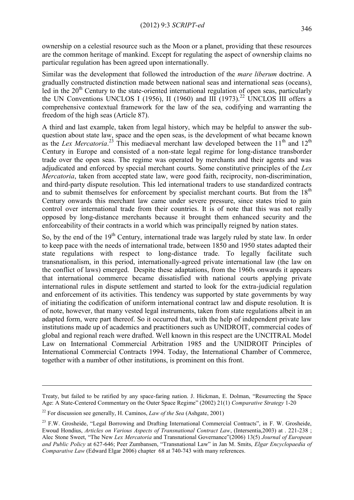ownership on a celestial resource such as the Moon or a planet, providing that these resources are the common heritage of mankind. Except for regulating the aspect of ownership claims no particular regulation has been agreed upon internationally.

Similar was the development that followed the introduction of the *mare liberum* doctrine. A gradually constructed distinction made between national seas and international seas (oceans), led in the  $20<sup>th</sup>$  Century to the state-oriented international regulation of open seas, particularly the UN Conventions UNCLOS I (1956), II (1960) and III (1973).<sup>22</sup> UNCLOS III offers a comprehensive contextual framework for the law of the sea, codifying and warranting the freedom of the high seas (Article 87).

A third and last example, taken from legal history, which may be helpful to answer the subquestion about state law, space and the open seas, is the development of what became known as the *Lex Mercatoria*.<sup>23</sup> This mediaeval merchant law developed between the 11<sup>th</sup> and 12<sup>th</sup> Century in Europe and consisted of a non-state legal regime for long-distance transborder trade over the open seas. The regime was operated by merchants and their agents and was adjudicated and enforced by special merchant courts. Some constitutive principles of the *Lex Mercatoria*, taken from accepted state law, were good faith, reciprocity, non-discrimination, and third-party dispute resolution. This led international traders to use standardized contracts and to submit themselves for enforcement by specialist merchant courts. But from the 18<sup>th</sup> Century onwards this merchant law came under severe pressure, since states tried to gain control over international trade from their countries. It is of note that this was not really opposed by long-distance merchants because it brought them enhanced security and the enforceability of their contracts in a world which was principally reigned by nation states.

So, by the end of the 19<sup>th</sup> Century, international trade was largely ruled by state law. In order to keep pace with the needs of international trade, between 1850 and 1950 states adapted their state regulations with respect to long-distance trade. To legally facilitate such transnationalism, in this period, internationally-agreed private international law (the law on the conflict of laws) emerged. Despite these adaptations, from the 1960s onwards it appears that international commerce became dissatisfied with national courts applying private international rules in dispute settlement and started to look for the extra-judicial regulation and enforcement of its activities. This tendency was supported by state governments by way of initiating the codification of uniform international contract law and dispute resolution. It is of note, however, that many vested legal instruments, taken from state regulations albeit in an adapted form, were part thereof. So it occurred that, with the help of independent private law institutions made up of academics and practitioners such as UNIDROIT, commercial codes of global and regional reach were drafted. Well known in this respect are the UNCITRAL Model Law on International Commercial Arbitration 1985 and the UNIDROIT Principles of International Commercial Contracts 1994. Today, the International Chamber of Commerce, together with a number of other institutions, is prominent on this front.

Treaty, but failed to be ratified by any space-faring nation. J. Hickman, E. Dolman, "Resurrecting the Space Age: A State-Centered Commentary on the Outer Space Regime" (2002) 21(1) *Comparative Strategy* 1-20

<sup>22</sup> For discussion see generally, H. Caminos, *Law of the Sea* (Ashgate, 2001)

<sup>&</sup>lt;sup>23</sup> F.W. Grosheide, "Legal Borrowing and Drafting International Commercial Contracts", in F. W. Grosheide, Ewoud Hondius, *Articles on Various Aspects of Transnational Contract Law*, (Intersentia,2003) at . 221-238 ; Alec Stone Sweet, "The New *Lex Mercatoria* and Transnational Governance"(2006) 13(5) *Journal of European and Public Policy* at 627-646; Peer Zumbansen, "Transnational Law" in Jan M. Smits, *Elgar Encyclopaedia of Comparative Law* (Edward Elgar 2006) chapter 68 at 740-743 with many references.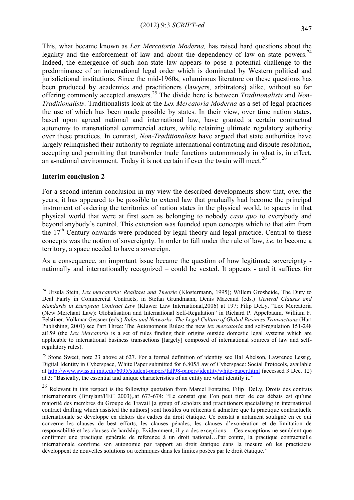This, what became known as *Lex Mercatoria Moderna,* has raised hard questions about the legality and the enforcement of law and about the dependency of law on state powers.<sup>24</sup> Indeed, the emergence of such non-state law appears to pose a potential challenge to the predominance of an international legal order which is dominated by Western political and jurisdictional institutions. Since the mid-1960s, voluminous literature on these questions has been produced by academics and practitioners (lawyers, arbitrators) alike, without so far offering commonly accepted answers.<sup>25</sup> The divide here is between *Traditionalists* and *Non-Traditionalists*. Traditionalists look at the *Lex Mercatoria Moderna* as a set of legal practices the use of which has been made possible by states. In their view, over time nation states, based upon agreed national and international law, have granted a certain contractual autonomy to transnational commercial actors, while retaining ultimate regulatory authority over these practices. In contrast, *Non-Traditionalists* have argued that state authorities have largely relinquished their authority to regulate international contracting and dispute resolution, accepting and permitting that transborder trade functions autonomously in what is, in effect, an a-national environment. Today it is not certain if ever the twain will meet.<sup>26</sup>

#### **Interim conclusion 2**

1

For a second interim conclusion in my view the described developments show that, over the years, it has appeared to be possible to extend law that gradually had become the principal instrument of ordering the territories of nation states in the physical world, to spaces in that physical world that were at first seen as belonging to nobody *casu quo* to everybody and beyond anybody's control. This extension was founded upon concepts which to that aim from the  $17<sup>th</sup>$  Century onwards were produced by legal theory and legal practice. Central to these concepts was the notion of sovereignty. In order to fall under the rule of law, *i.e.* to become a territory, a space needed to have a sovereign.

As a consequence, an important issue became the question of how legitimate sovereignty nationally and internationally recognized – could be vested. It appears - and it suffices for

<sup>24</sup> Ursula Stein, *Lex mercatoria: Realitaet und Theorie* (Klostermann, 1995); Willem Grosheide, The Duty to Deal Fairly in Commercial Contracts, in Stefan Grundmann, Denis Mazeaud (eds.) *General Clauses and Standards in European Contract Law* (Kluwer Law International,2006) at 197; Filip DeLy, "Lex Mercatoria (New Merchant Law): Globalisation and International Self-Regulation" in Richard P. Appelbaum, William F. Felstiner, Volkmar Gessner (eds.) *Rules and Networks: The Legal Culture of Global Business Transactions* (Hart Publishing, 2001) see Part Three: The Autonomous Rules: the new *lex mercatoria* and self-regulation 151-248 at159 (the *Lex Mercatoria* is a set of rules finding their origins outside domestic legal systems which are applicable to international business transactions [largely] composed of international sources of law and selfregulatory rules).

 $25$  Stone Sweet, note 23 above at 627. For a formal definition of identity see Hal Abelson, Lawrence Lessig, Digital Identity in Cyberspace, White Paper submitted for 6.805/Law of Cyberspace: Social Protocols, available at<http://www.swiss.ai.mit.edu/6095/student-papers/fall98-papers/identity/white-paper.html> (accessed 3 Dec. 12) at 3: "Basically, the essential and unique characteristics of an entity are what identify it."

<sup>&</sup>lt;sup>26</sup> Relevant in this respect is the following quotation from Marcel Fontaine, Filip DeLy, Droits des contrats internationaux (Bruylant/FEC 2003),.at 673-674: "Le constat que l'on peut tirer de ces débats est qu'une majorité des membres du Groupe de Travail [a group of scholars and practitioners specialising in international contract drafting which assisted the authors] sont hostiles ou réticents à admettre que la practique contractuelle internationale se développe en dehors des cadres du droit étatique. Ce constat a notament souligné en ce qui concerne les clauses de best efforts, les clauses pénales, les clauses d'exonération et de limitation de responsabilité et les clauses de hardship. Evidemment, il y a des exceptions… Ces exceptions ne semblent que confirmer une practique générale de reference à un droit national…Par contre, la practique contractuelle internationale confirme son autonomie par rapport au droit étatique dans la mesure où les practiciens développent de nouvelles solutions ou techniques dans les limites posées par le droit étatique."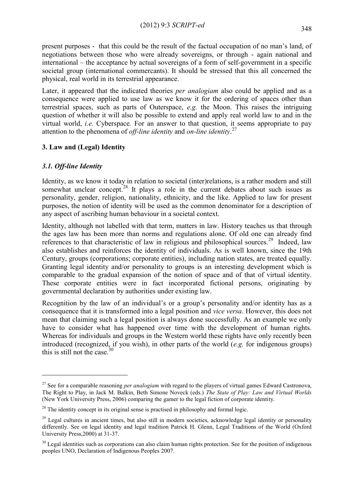present purposes - that this could be the result of the factual occupation of no man's land, of negotiations between those who were already sovereigns, or through - again national and international – the acceptance by actual sovereigns of a form of self-government in a specific societal group (international commercants). It should be stressed that this all concerned the physical, real world in its terrestrial appearance.

Later, it appeared that the indicated theories *per analogiam* also could be applied and as a consequence were applied to use law as we know it for the ordering of spaces other than terrestrial spaces, such as parts of Outerspace, *e.g.* the Moon. This raises the intriguing question of whether it will also be possible to extend and apply real world law to and in the virtual world, *i.e.* Cyberspace*.* For an answer to that question, it seems appropriate to pay attention to the phenomena of *off-line identity* and *on-line identity*. 27

# **3. Law and (Legal) Identity**

# *3.1. Off-line Identity*

1

Identity, as we know it today in relation to societal (inter)relations, is a rather modern and still somewhat unclear concept.<sup>28</sup> It plays a role in the current debates about such issues as personality, gender, religion, nationality, ethnicity, and the like. Applied to law for present purposes, the notion of identity will be used as the common denominator for a description of any aspect of ascribing human behaviour in a societal context.

Identity, although not labelled with that term, matters in law. History teaches us that through the ages law has been more than norms and regulations alone. Of old one can already find references to that characteristic of law in religious and philosophical sources.<sup>29</sup> Indeed, law also establishes and reinforces the identity of individuals. As is well known, since the 19th Century, groups (corporations; corporate entities), including nation states, are treated equally. Granting legal identity and/or personality to groups is an interesting development which is comparable to the gradual expansion of the notion of space and of that of virtual identity. These corporate entities were in fact incorporated fictional persons, originating by governmental declaration by authorities under existing law.

Recognition by the law of an individual's or a group's personality and/or identity has as a consequence that it is transformed into a legal position and *vice versa*. However, this does not mean that claiming such a legal position is always done successfully. As an example we only have to consider what has happened over time with the development of human rights. Whereas for individuals and groups in the Western world these rights have only recently been introduced (recognized, if you wish), in other parts of the world (*e.g.* for indigenous groups) this is still not the case. $30$ 

<sup>&</sup>lt;sup>27</sup> See for a comparable reasoning *per analogiam* with regard to the players of virtual games Edward Castronova, The Right to Play, in Jack M. Balkin, Beth Simone Noveck (eds.) *The State of Play: Law and Virtual Worlds* (New York University Press, 2006) comparing the gamer to the legal fiction of corporate identity.

<sup>&</sup>lt;sup>28</sup> The identity concept in its original sense is practised in philosophy and formal logic.

 $^{29}$  Legal cultures in ancient times, but also still in modern societies, acknowledge legal identity or personality differently. See on legal identity and legal tradition Patrick H. Glenn, Legal Traditions of the World (Oxford University Press,2000) at 31-37.

 $30$  Legal identities such as corporations can also claim human rights protection. See for the position of indigenous peoples UNO, Declaration of Indigenous Peoples 2007.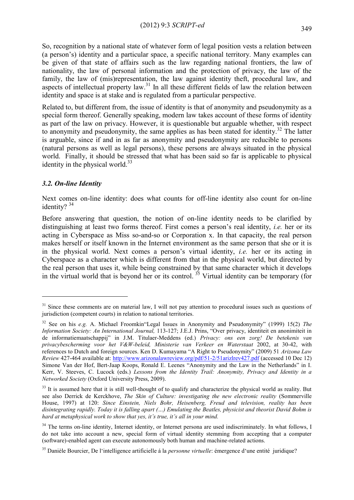So, recognition by a national state of whatever form of legal position vests a relation between (a person's) identity and a particular space, a specific national territory. Many examples can be given of that state of affairs such as the law regarding national frontiers, the law of nationality, the law of personal information and the protection of privacy, the law of the family, the law of (mis)representation, the law against identity theft, procedural law, and aspects of intellectual property law.<sup>31</sup> In all these different fields of law the relation between identity and space is at stake and is regulated from a particular perspective.

Related to, but different from, the issue of identity is that of anonymity and pseudonymity as a special form thereof. Generally speaking, modern law takes account of these forms of identity as part of the law on privacy. However, it is questionable but arguable whether, with respect to anonymity and pseudonymity, the same applies as has been stated for identity.<sup>32</sup> The latter is arguable, since if and in as far as anonymity and pseudonymity are reducible to persons (natural persons as well as legal persons), these persons are always situated in the physical world. Finally, it should be stressed that what has been said so far is applicable to physical identity in the physical world. $33$ 

# *3.2. On-line Identity*

1

Next comes on-line identity: does what counts for off-line identity also count for on-line identity?<sup>34</sup>

Before answering that question, the notion of on-line identity needs to be clarified by distinguishing at least two forms thereof. First comes a person's real identity, *i.e.* her or its acting in Cyberspace as Miss so-and-so or Corporation x. In that capacity, the real person makes herself or itself known in the Internet environment as the same person that she or it is in the physical world. Next comes a person's virtual identity, *i.e.* her or its acting in Cyberspace as a character which is different from that in the physical world, but directed by the real person that uses it, while being constrained by that same character which it develops in the virtual world that is beyond her or its control.<sup>35</sup> Virtual identity can be temporary (for

 $31$  Since these comments are on material law, I will not pay attention to procedural issues such as questions of jurisdiction (competent courts) in relation to national territories.

<sup>32</sup> See on his *e.g.* A. Michael Froomkin"Legal Issues in Anonymity and Pseudonymity" (1999) 15(2) *The Information Society: An International Journal,* 113-127; J.E.J. Prins, "Over privacy, identiteit en anonimiteit in de informatiemaatschappij" in J.M. Titulaer-Meddens (ed.) *Privacy: ons een zorg! De betekenis van privacybescherming voor het V&W-beleid, Ministerie van Verkeer en Waterstaat* 2002, at 30-42, with references to Dutch and foreign sources. Ken D. Kumayama "A Right to Pseudonymity" (2009) 51 *Arizona Law Review* 427-464 available at:<http://www.arizonalawreview.org/pdf/51-2/51arizlrev427.pdf> (accessed 10 Dec 12) Simone Van der Hof, Bert-Jaap Koops, Ronald E. Leenes "Anonymity and the Law in the Netherlands" in I. Kerr, V. Steeves, C. Lucock (eds.) *Lessons from the Identity Trail: Anonymity, Privacy and Identity in a Networked Society* (Oxford University Press, 2009).

 $33$  It is assumed here that it is still well-thought of to qualify and characterize the physical world as reality. But see also Derrick de Kerckhove, *The Skin of Culture: investigating the new electronic reality* (Sommerville House, 1997) at 120: *Since Einstein, Niels Bohr, Heisenberg, Freud and television, reality has been disintegrating rapidly. Today it is falling apart (…) Emulating the Beatles, physicist and theorist David Bohm is hard at metaphysical work to show that yes, it's true, it's all in your mind.*

<sup>&</sup>lt;sup>34</sup> The terms on-line identity, Internet identity, or Internet persona are used indiscriminately. In what follows, I do not take into account a new, special form of virtual identity stemming from accepting that a computer (software)-enabled agent can execute autonomously both human and machine-related actions.

<sup>35</sup> Danièle Bourcier, De l'intelligence artificielle á la *personne virtuelle*: émergence d'une entité juridique?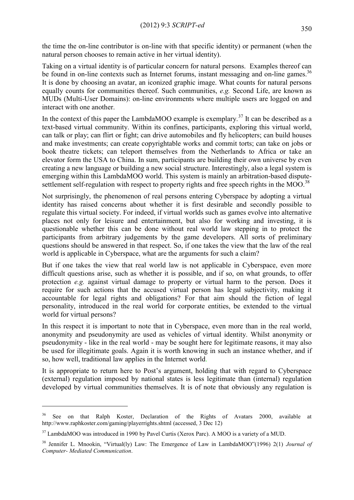the time the on-line contributor is on-line with that specific identity) or permanent (when the natural person chooses to remain active in her virtual identity).

Taking on a virtual identity is of particular concern for natural persons. Examples thereof can be found in on-line contexts such as Internet forums, instant messaging and on-line games.<sup>36</sup> It is done by choosing an avatar, an iconized graphic image. What counts for natural persons equally counts for communities thereof. Such communities, *e.g.* Second Life, are known as MUDs (Multi-User Domains): on-line environments where multiple users are logged on and interact with one another.

In the context of this paper the LambdaMOO example is exemplary.<sup>37</sup> It can be described as a text-based virtual community. Within its confines, participants, exploring this virtual world, can talk or play; can flirt or fight; can drive automobiles and fly helicopters; can build houses and make investments; can create copyrightable works and commit torts; can take on jobs or book theatre tickets; can teleport themselves from the Netherlands to Africa or take an elevator form the USA to China. In sum, participants are building their own universe by even creating a new language or building a new social structure. Interestingly, also a legal system is emerging within this LambdaMOO world. This system is mainly an arbitration-based disputesettlement self-regulation with respect to property rights and free speech rights in the MOO.<sup>38</sup>

Not surprisingly, the phenomenon of real persons entering Cyberspace by adopting a virtual identity has raised concerns about whether it is first desirable and secondly possible to regulate this virtual society. For indeed, if virtual worlds such as games evolve into alternative places not only for leisure and entertainment, but also for working and investing, it is questionable whether this can be done without real world law stepping in to protect the participants from arbitrary judgements by the game developers. All sorts of preliminary questions should be answered in that respect. So, if one takes the view that the law of the real world is applicable in Cyberspace, what are the arguments for such a claim?

But if one takes the view that real world law is not applicable in Cyberspace, even more difficult questions arise, such as whether it is possible, and if so, on what grounds, to offer protection *e.g.* against virtual damage to property or virtual harm to the person. Does it require for such actions that the accused virtual person has legal subjectivity, making it accountable for legal rights and obligations? For that aim should the fiction of legal personality, introduced in the real world for corporate entities, be extended to the virtual world for virtual persons?

In this respect it is important to note that in Cyberspace, even more than in the real world, anonymity and pseudonymity are used as vehicles of virtual identity. Whilst anonymity or pseudonymity - like in the real world - may be sought here for legitimate reasons, it may also be used for illegitimate goals. Again it is worth knowing in such an instance whether, and if so, how well, traditional law applies in the Internet world.

It is appropriate to return here to Post's argument, holding that with regard to Cyberspace (external) regulation imposed by national states is less legitimate than (internal) regulation developed by virtual communities themselves. It is of note that obviously any regulation is

1

See on that Ralph Koster, Declaration of the Rights of Avatars 2000, available at http://www.raphkoster.com/gaming/playerrights.shtml (accessed, 3 Dec 12)

<sup>&</sup>lt;sup>37</sup> LambdaMOO was introduced in 1990 by Pavel Curtis (Xerox Parc). A MOO is a variety of a MUD.

<sup>38</sup> Jennifer L. Mnookin, "Virtual(ly) Law: The Emergence of Law in LambdaMOO"(1996) 2(1) *Journal of Computer- Mediated Communication*.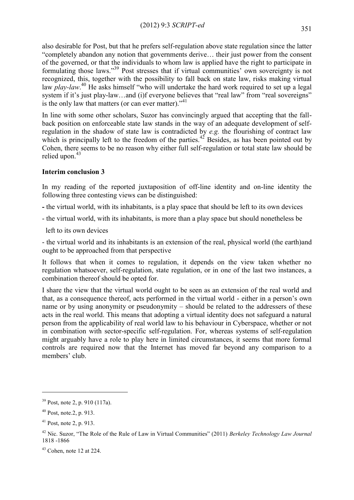also desirable for Post, but that he prefers self-regulation above state regulation since the latter "completely abandon any notion that governments derive… their just power from the consent of the governed, or that the individuals to whom law is applied have the right to participate in formulating those laws."<sup>39</sup> Post stresses that if virtual communities' own sovereignty is not recognized, this, together with the possibility to fall back on state law, risks making virtual law *play-law*.<sup>40</sup> He asks himself "who will undertake the hard work required to set up a legal system if it's just play-law...and (i)f everyone believes that "real law" from "real sovereigns" is the only law that matters (or can ever matter)."<sup>41</sup>

In line with some other scholars, Suzor has convincingly argued that accepting that the fallback position on enforceable state law stands in the way of an adequate development of selfregulation in the shadow of state law is contradicted by *e.g.* the flourishing of contract law which is principally left to the freedom of the parties.<sup>42</sup> Besides, as has been pointed out by Cohen, there seems to be no reason why either full self-regulation or total state law should be relied upon. $43$ 

## **Interim conclusion 3**

In my reading of the reported juxtaposition of off-line identity and on-line identity the following three contesting views can be distinguished:

- **-** the virtual world, with its inhabitants, is a play space that should be left to its own devices
- the virtual world, with its inhabitants, is more than a play space but should nonetheless be
- left to its own devices

- the virtual world and its inhabitants is an extension of the real, physical world (the earth)and ought to be approached from that perspective

It follows that when it comes to regulation, it depends on the view taken whether no regulation whatsoever, self-regulation, state regulation, or in one of the last two instances, a combination thereof should be opted for.

I share the view that the virtual world ought to be seen as an extension of the real world and that, as a consequence thereof, acts performed in the virtual world - either in a person's own name or by using anonymity or pseudonymity – should be related to the addressers of these acts in the real world. This means that adopting a virtual identity does not safeguard a natural person from the applicability of real world law to his behaviour in Cyberspace, whether or not in combination with sector-specific self-regulation. For, whereas systems of self-regulation might arguably have a role to play here in limited circumstances, it seems that more formal controls are required now that the Internet has moved far beyond any comparison to a members' club.

 $39$  Post, note 2, p. 910 (117a).

 $40$  Post, note. 2, p. 913.

 $41$  Post, note 2, p. 913.

<sup>42</sup> Nic. Suzor, "The Role of the Rule of Law in Virtual Communities" (2011) *Berkeley Technology Law Journal*  1818 -1866

 $43$  Cohen, note 12 at 224.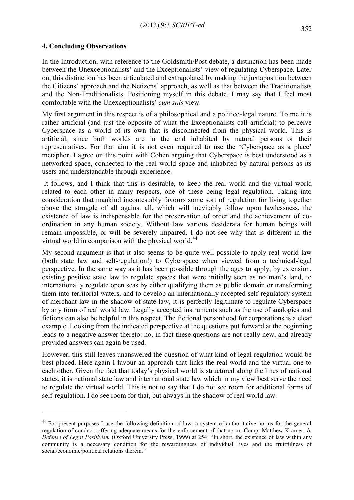#### **4. Concluding Observations**

<u>.</u>

In the Introduction, with reference to the Goldsmith/Post debate, a distinction has been made between the Unexceptionalists' and the Exceptionalists' view of regulating Cyberspace. Later on, this distinction has been articulated and extrapolated by making the juxtaposition between the Citizens' approach and the Netizens' approach, as well as that between the Traditionalists and the Non-Traditionalists. Positioning myself in this debate, I may say that I feel most comfortable with the Unexceptionalists' *cum suis* view.

My first argument in this respect is of a philosophical and a politico-legal nature. To me it is rather artificial (and just the opposite of what the Exceptionalists call artificial) to perceive Cyberspace as a world of its own that is disconnected from the physical world. This is artificial, since both worlds are in the end inhabited by natural persons or their representatives. For that aim it is not even required to use the 'Cyberspace as a place' metaphor. I agree on this point with Cohen arguing that Cyberspace is best understood as a networked space, connected to the real world space and inhabited by natural persons as its users and understandable through experience.

It follows, and I think that this is desirable, to keep the real world and the virtual world related to each other in many respects, one of these being legal regulation. Taking into consideration that mankind incontestably favours some sort of regulation for living together above the struggle of all against all, which will inevitably follow upon lawlessness, the existence of law is indispensable for the preservation of order and the achievement of coordination in any human society. Without law various desiderata for human beings will remain impossible, or will be severely impaired. I do not see why that is different in the virtual world in comparison with the physical world.<sup>44</sup>

My second argument is that it also seems to be quite well possible to apply real world law (both state law and self-regulation!) to Cyberspace when viewed from a technical-legal perspective. In the same way as it has been possible through the ages to apply, by extension, existing positive state law to regulate spaces that were initially seen as no man's land, to internationally regulate open seas by either qualifying them as public domain or transforming them into territorial waters, and to develop an internationally accepted self-regulatory system of merchant law in the shadow of state law, it is perfectly legitimate to regulate Cyberspace by any form of real world law. Legally accepted instruments such as the use of analogies and fictions can also be helpful in this respect. The fictional personhood for corporations is a clear example. Looking from the indicated perspective at the questions put forward at the beginning leads to a negative answer thereto: no, in fact these questions are not really new, and already provided answers can again be used.

However, this still leaves unanswered the question of what kind of legal regulation would be best placed. Here again I favour an approach that links the real world and the virtual one to each other. Given the fact that today's physical world is structured along the lines of national states, it is national state law and international state law which in my view best serve the need to regulate the virtual world. This is not to say that I do not see room for additional forms of self-regulation. I do see room for that, but always in the shadow of real world law.

<sup>&</sup>lt;sup>44</sup> For present purposes I use the following definition of law: a system of authoritative norms for the general regulation of conduct, offering adequate means for the enforcement of that norm. Comp. Matthew Kramer, *In Defense of Legal Positivism* (Oxford University Press, 1999) at 254: "In short, the existence of law within any community is a necessary condition for the rewardingness of individual lives and the fruitfulness of social/economic/political relations therein."